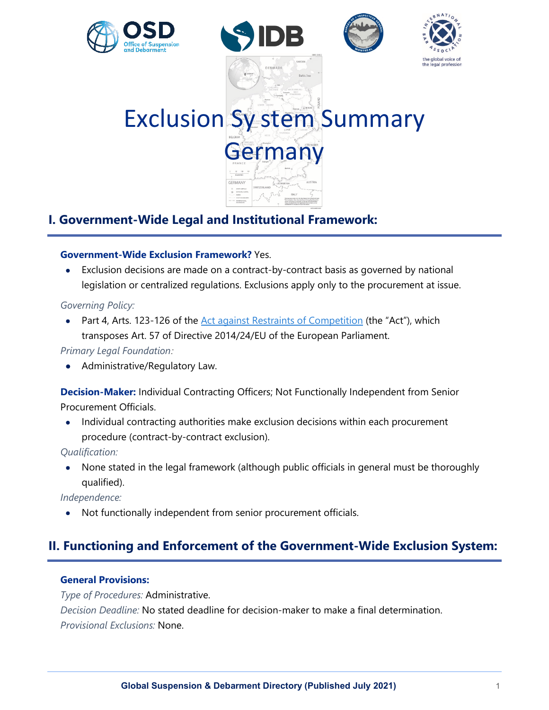







Exclusion Sy stem Summary Germany

# **I. Government-Wide Legal and Institutional Framework:**

## **Government-Wide Exclusion Framework?** Yes.

• Exclusion decisions are made on a contract-by-contract basis as governed by national legislation or centralized regulations. Exclusions apply only to the procurement at issue.

## *Governing Policy:*

Part 4, Arts. 123-126 of the [Act against Restraints of Competition](https://www.gesetze-im-internet.de/englisch_gwb/) (the "Act"), which transposes Art. 57 of Directive 2014/24/EU of the European Parliament.

## *Primary Legal Foundation:*

• Administrative/Regulatory Law.

**Decision-Maker:** Individual Contracting Officers; Not Functionally Independent from Senior Procurement Officials.

• Individual contracting authorities make exclusion decisions within each procurement procedure (contract-by-contract exclusion).

*Qualification:*

• None stated in the legal framework (although public officials in general must be thoroughly qualified).

*Independence:*

• Not functionally independent from senior procurement officials.

# **II. Functioning and Enforcement of the Government-Wide Exclusion System:**

## **General Provisions:**

*Type of Procedures:* Administrative. *Decision Deadline:* No stated deadline for decision-maker to make a final determination. *Provisional Exclusions:* None.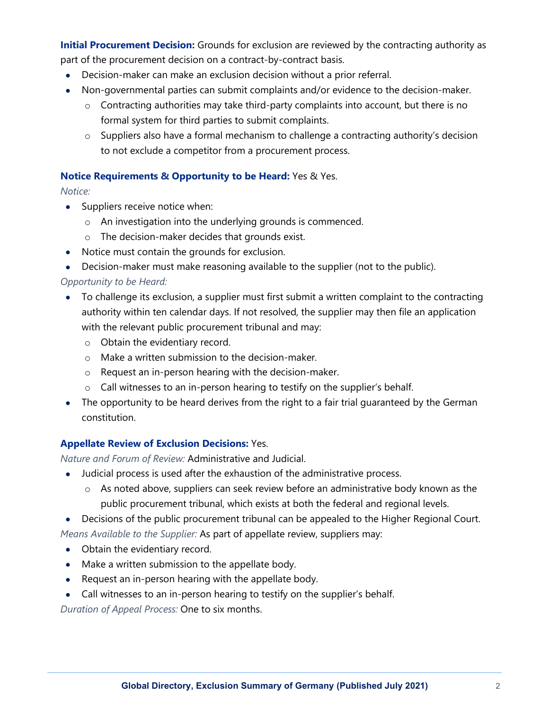**Initial Procurement Decision:** Grounds for exclusion are reviewed by the contracting authority as part of the procurement decision on a contract-by-contract basis.

- Decision-maker can make an exclusion decision without a prior referral.
- Non-governmental parties can submit complaints and/or evidence to the decision-maker.
	- $\circ$  Contracting authorities may take third-party complaints into account, but there is no formal system for third parties to submit complaints.
	- $\circ$  Suppliers also have a formal mechanism to challenge a contracting authority's decision to not exclude a competitor from a procurement process.

## **Notice Requirements & Opportunity to be Heard:** Yes & Yes.

*Notice:*

- Suppliers receive notice when:
	- o An investigation into the underlying grounds is commenced.
	- o The decision-maker decides that grounds exist.
- Notice must contain the grounds for exclusion.
- Decision-maker must make reasoning available to the supplier (not to the public).

## *Opportunity to be Heard:*

- To challenge its exclusion, a supplier must first submit a written complaint to the contracting authority within ten calendar days. If not resolved, the supplier may then file an application with the relevant public procurement tribunal and may:
	- o Obtain the evidentiary record.
	- o Make a written submission to the decision-maker.
	- o Request an in-person hearing with the decision-maker.
	- o Call witnesses to an in-person hearing to testify on the supplier's behalf.
- The opportunity to be heard derives from the right to a fair trial quaranteed by the German constitution.

## **Appellate Review of Exclusion Decisions:** Yes.

*Nature and Forum of Review:* Administrative and Judicial.

- Judicial process is used after the exhaustion of the administrative process.
	- $\circ$  As noted above, suppliers can seek review before an administrative body known as the public procurement tribunal, which exists at both the federal and regional levels.
- Decisions of the public procurement tribunal can be appealed to the Higher Regional Court. *Means Available to the Supplier:* As part of appellate review, suppliers may:
- Obtain the evidentiary record.
- Make a written submission to the appellate body.
- Request an in-person hearing with the appellate body.
- Call witnesses to an in-person hearing to testify on the supplier's behalf.

*Duration of Appeal Process:* One to six months.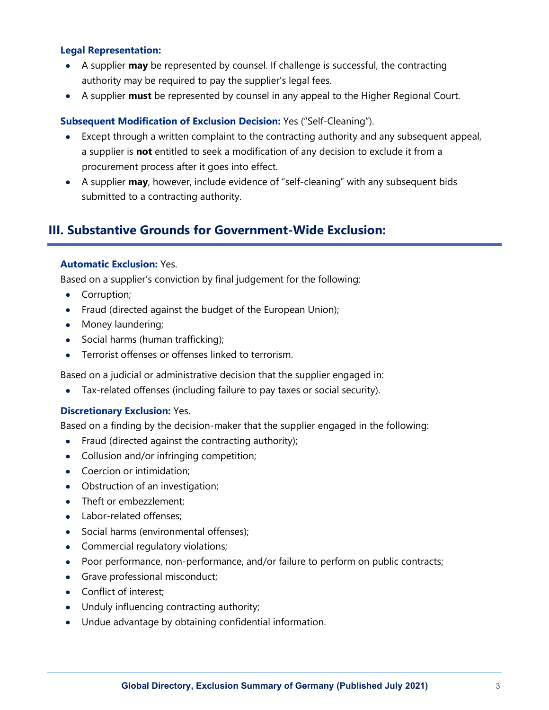#### **Legal Representation:**

- A supplier **may** be represented by counsel. If challenge is successful, the contracting authority may be required to pay the supplier's legal fees.
- A supplier **must** be represented by counsel in any appeal to the Higher Regional Court.

#### **Subsequent Modification of Exclusion Decision:** Yes ("Self-Cleaning").

- Except through a written complaint to the contracting authority and any subsequent appeal, a supplier is **not** entitled to seek a modification of any decision to exclude it from a procurement process after it goes into effect.
- A supplier **may**, however, include evidence of "self-cleaning" with any subsequent bids submitted to a contracting authority.

## **III. Substantive Grounds for Government-Wide Exclusion:**

#### **Automatic Exclusion:** Yes.

Based on a supplier's conviction by final judgement for the following:

- Corruption;
- Fraud (directed against the budget of the European Union);
- Money laundering;
- Social harms (human trafficking);
- Terrorist offenses or offenses linked to terrorism.

Based on a judicial or administrative decision that the supplier engaged in:

• Tax-related offenses (including failure to pay taxes or social security).

#### **Discretionary Exclusion:** Yes.

Based on a finding by the decision-maker that the supplier engaged in the following:

- Fraud (directed against the contracting authority);
- Collusion and/or infringing competition;
- Coercion or intimidation;
- Obstruction of an investigation;
- Theft or embezzlement;
- Labor-related offenses:
- Social harms (environmental offenses);
- Commercial regulatory violations;
- Poor performance, non-performance, and/or failure to perform on public contracts;
- Grave professional misconduct;
- Conflict of interest;
- Unduly influencing contracting authority;
- Undue advantage by obtaining confidential information.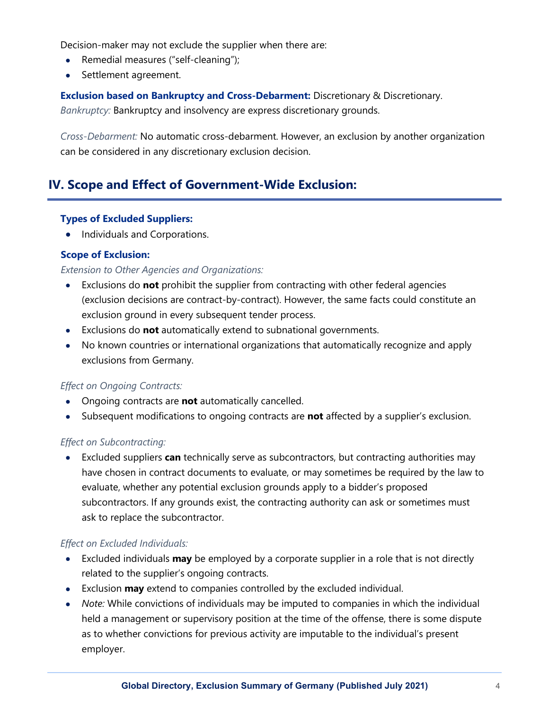Decision-maker may not exclude the supplier when there are:

- Remedial measures ("self-cleaning");
- Settlement agreement.

**Exclusion based on Bankruptcy and Cross-Debarment:** Discretionary & Discretionary.

*Bankruptcy:* Bankruptcy and insolvency are express discretionary grounds.

*Cross-Debarment:* No automatic cross-debarment. However, an exclusion by another organization can be considered in any discretionary exclusion decision.

## **IV. Scope and Effect of Government-Wide Exclusion:**

#### **Types of Excluded Suppliers:**

• Individuals and Corporations.

## **Scope of Exclusion:**

#### *Extension to Other Agencies and Organizations:*

- Exclusions do **not** prohibit the supplier from contracting with other federal agencies (exclusion decisions are contract-by-contract). However, the same facts could constitute an exclusion ground in every subsequent tender process.
- Exclusions do **not** automatically extend to subnational governments.
- No known countries or international organizations that automatically recognize and apply exclusions from Germany.

#### *Effect on Ongoing Contracts:*

- Ongoing contracts are **not** automatically cancelled.
- Subsequent modifications to ongoing contracts are **not** affected by a supplier's exclusion.

## *Effect on Subcontracting:*

• Excluded suppliers **can** technically serve as subcontractors, but contracting authorities may have chosen in contract documents to evaluate, or may sometimes be required by the law to evaluate, whether any potential exclusion grounds apply to a bidder's proposed subcontractors. If any grounds exist, the contracting authority can ask or sometimes must ask to replace the subcontractor.

## *Effect on Excluded Individuals:*

- Excluded individuals **may** be employed by a corporate supplier in a role that is not directly related to the supplier's ongoing contracts.
- Exclusion **may** extend to companies controlled by the excluded individual.
- *Note:* While convictions of individuals may be imputed to companies in which the individual held a management or supervisory position at the time of the offense, there is some dispute as to whether convictions for previous activity are imputable to the individual's present employer.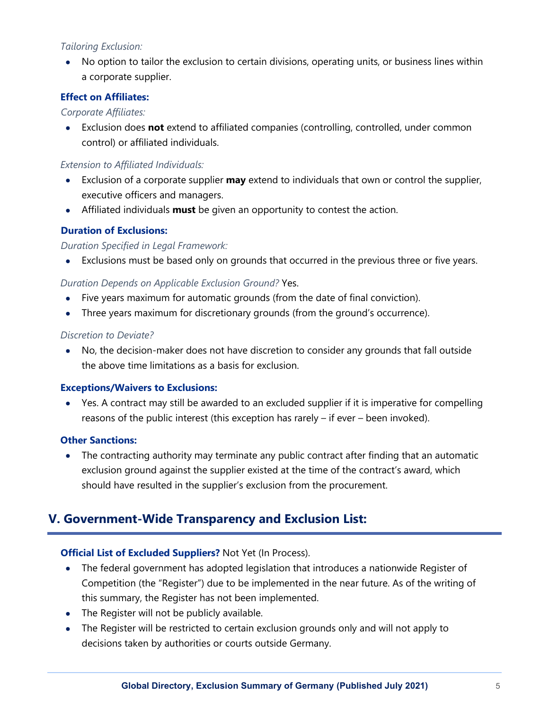## *Tailoring Exclusion:*

• No option to tailor the exclusion to certain divisions, operating units, or business lines within a corporate supplier.

## **Effect on Affiliates:**

#### *Corporate Affiliates:*

• Exclusion does **not** extend to affiliated companies (controlling, controlled, under common control) or affiliated individuals.

### *Extension to Affiliated Individuals:*

- Exclusion of a corporate supplier **may** extend to individuals that own or control the supplier, executive officers and managers.
- Affiliated individuals **must** be given an opportunity to contest the action.

## **Duration of Exclusions:**

#### *Duration Specified in Legal Framework:*

• Exclusions must be based only on grounds that occurred in the previous three or five years.

## *Duration Depends on Applicable Exclusion Ground?* Yes.

- Five years maximum for automatic grounds (from the date of final conviction).
- Three years maximum for discretionary grounds (from the ground's occurrence).

#### *Discretion to Deviate?*

• No, the decision-maker does not have discretion to consider any grounds that fall outside the above time limitations as a basis for exclusion.

#### **Exceptions/Waivers to Exclusions:**

• Yes. A contract may still be awarded to an excluded supplier if it is imperative for compelling reasons of the public interest (this exception has rarely – if ever – been invoked).

#### **Other Sanctions:**

• The contracting authority may terminate any public contract after finding that an automatic exclusion ground against the supplier existed at the time of the contract's award, which should have resulted in the supplier's exclusion from the procurement.

# **V. Government-Wide Transparency and Exclusion List:**

## **Official List of Excluded Suppliers?** Not Yet (In Process).

- The federal government has adopted legislation that introduces a nationwide Register of Competition (the "Register") due to be implemented in the near future. As of the writing of this summary, the Register has not been implemented.
- The Register will not be publicly available.
- The Register will be restricted to certain exclusion grounds only and will not apply to decisions taken by authorities or courts outside Germany.